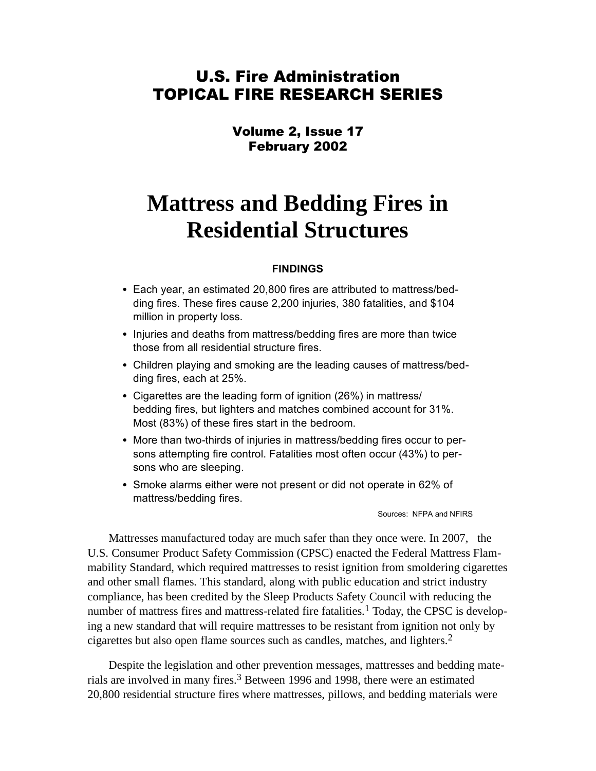# U.S. Fire Administration TOPICAL FIRE RESEARCH SERIES

#### Volume 2, Issue 17 February 2002

# **Mattress and Bedding Fires in Residential Structures**

#### **FINDINGS**

- Each year, an estimated 20,800 fires are attributed to mattress/bedding fires. These fires cause 2,200 injuries, 380 fatalities, and \$104 million in property loss.
- Injuries and deaths from mattress/bedding fires are more than twice those from all residential structure fires.
- Children playing and smoking are the leading causes of mattress/bedding fires, each at 25%.
- Cigarettes are the leading form of ignition (26%) in mattress/ bedding fires, but lighters and matches combined account for 31%. Most (83%) of these fires start in the bedroom.
- More than two-thirds of injuries in mattress/bedding fires occur to persons attempting fire control. Fatalities most often occur (43%) to persons who are sleeping.
- Smoke alarms either were not present or did not operate in 62% of mattress/bedding fires.

Sources: NFPA and NFIRS

Mattresses manufactured today are much safer than they once were. In 2007, the U.S. Consumer Product Safety Commission (CPSC) enacted the Federal Mattress Flammability Standard, which required mattresses to resist ignition from smoldering cigarettes and other small flames. This standard, along with public education and strict industry compliance, has been credited by the Sleep Products Safety Council with reducing the number of mattress fires and mattress-related fire fatalities.<sup>1</sup> Today, the CPSC is developing a new standard that will require mattresses to be resistant from ignition not only by cigarettes but also open flame sources such as candles, matches, and lighters. 2

Despite the legislation and other prevention messages, mattresses and bedding materials are involved in many fires. 3 Between 1996 and 1998, there were an estimated 20,800 residential structure fires where mattresses, pillows, and bedding materials were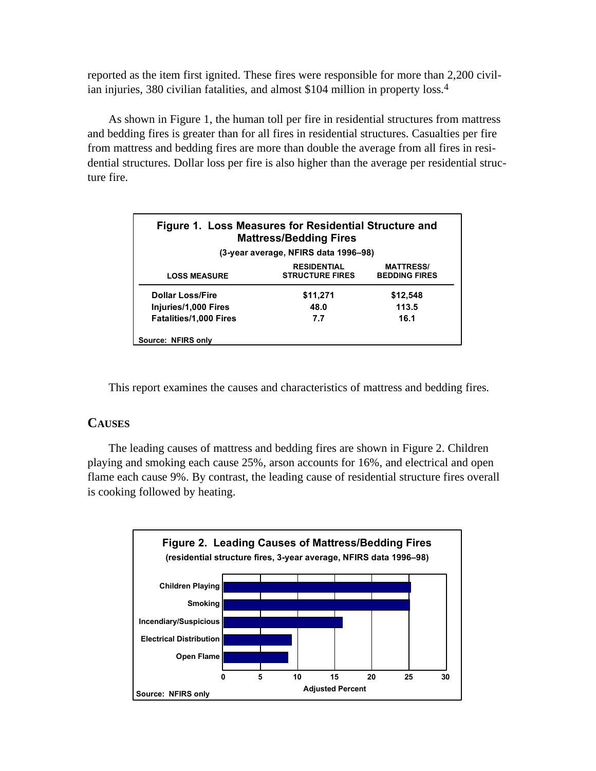reported as the item first ignited. These fires were responsible for more than 2,200 civilian injuries, 380 civilian fatalities, and almost \$104 million in property loss. 4

As shown in Figure 1, the human toll per fire in residential structures from mattress and bedding fires is greater than for all fires in residential structures. Casualties per fire from mattress and bedding fires are more than double the average from all fires in residential structures. Dollar loss per fire is also higher than the average per residential structure fire.

| Figure 1. Loss Measures for Residential Structure and<br><b>Mattress/Bedding Fires</b> |                                              |                                          |  |  |
|----------------------------------------------------------------------------------------|----------------------------------------------|------------------------------------------|--|--|
| (3-year average, NFIRS data 1996–98)                                                   |                                              |                                          |  |  |
| <b>LOSS MEASURE</b>                                                                    | <b>RESIDENTIAL</b><br><b>STRUCTURE FIRES</b> | <b>MATTRESS/</b><br><b>BEDDING FIRES</b> |  |  |
| <b>Dollar Loss/Fire</b>                                                                | \$11,271                                     | \$12,548                                 |  |  |
| Injuries/1,000 Fires                                                                   | 48.0                                         | 113.5                                    |  |  |
| <b>Fatalities/1,000 Fires</b>                                                          | 7.7                                          | 16.1                                     |  |  |
| Source: NFIRS only                                                                     |                                              |                                          |  |  |

This report examines the causes and characteristics of mattress and bedding fires.

#### **CAUSES**

The leading causes of mattress and bedding fires are shown in Figure 2. Children playing and smoking each cause 25%, arson accounts for 16%, and electrical and open flame each cause 9%. By contrast, the leading cause of residential structure fires overall is cooking followed by heating.

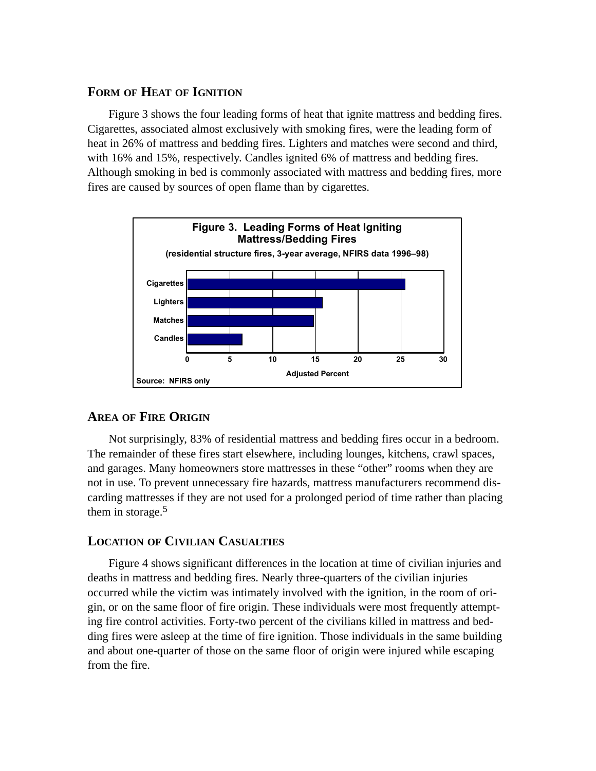#### **FORM OF HEAT OF IGNITION**

Figure 3 shows the four leading forms of heat that ignite mattress and bedding fires. Cigarettes, associated almost exclusively with smoking fires, were the leading form of heat in 26% of mattress and bedding fires. Lighters and matches were second and third, with 16% and 15%, respectively. Candles ignited 6% of mattress and bedding fires. Although smoking in bed is commonly associated with mattress and bedding fires, more fires are caused by sources of open flame than by cigarettes.



### **AREA OF FIRE ORIGIN**

Not surprisingly, 83% of residential mattress and bedding fires occur in a bedroom. The remainder of these fires start elsewhere, including lounges, kitchens, crawl spaces, and garages. Many homeowners store mattresses in these "other" rooms when they are not in use. To prevent unnecessary fire hazards, mattress manufacturers recommend discarding mattresses if they are not used for a prolonged period of time rather than placing them in storage.<sup>5</sup>

#### **LOCATION OF CIVILIAN CASUALTIES**

Figure 4 shows significant differences in the location at time of civilian injuries and deaths in mattress and bedding fires. Nearly three-quarters of the civilian injuries occurred while the victim was intimately involved with the ignition, in the room of origin, or on the same floor of fire origin. These individuals were most frequently attempting fire control activities. Forty-two percent of the civilians killed in mattress and bedding fires were asleep at the time of fire ignition. Those individuals in the same building and about one-quarter of those on the same floor of origin were injured while escaping from the fire.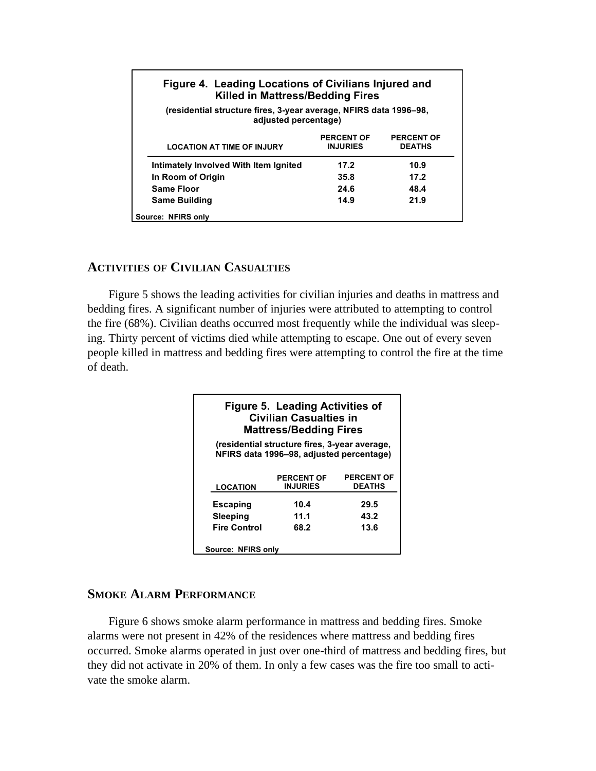| Figure 4. Leading Locations of Civilians Injured and<br>Killed in Mattress/Bedding Fires  |                                      |                                    |  |  |
|-------------------------------------------------------------------------------------------|--------------------------------------|------------------------------------|--|--|
| (residential structure fires, 3-year average, NFIRS data 1996-98,<br>adjusted percentage) |                                      |                                    |  |  |
| <b>LOCATION AT TIME OF INJURY</b>                                                         | <b>PERCENT OF</b><br><b>INJURIES</b> | <b>PERCENT OF</b><br><b>DEATHS</b> |  |  |
| Intimately Involved With Item Ignited                                                     | 17.2                                 | 10.9                               |  |  |
| In Room of Origin                                                                         | 35.8                                 | 17.2                               |  |  |
| Same Floor                                                                                | 24.6                                 | 48.4                               |  |  |
| <b>Same Building</b>                                                                      | 14.9                                 | 21.9                               |  |  |
| Source: NFIRS only                                                                        |                                      |                                    |  |  |

### **ACTIVITIES OF CIVILIAN CASUALTIES**

Figure 5 shows the leading activities for civilian injuries and deaths in mattress and bedding fires. A significant number of injuries were attributed to attempting to control the fire (68%). Civilian deaths occurred most frequently while the individual was sleeping. Thirty percent of victims died while attempting to escape. One out of every seven people killed in mattress and bedding fires were attempting to control the fire at the time of death.

| <b>Figure 5. Leading Activities of</b><br><b>Civilian Casualties in</b><br><b>Mattress/Bedding Fires</b> |                                    |  |  |
|----------------------------------------------------------------------------------------------------------|------------------------------------|--|--|
| (residential structure fires, 3-year average,<br>NFIRS data 1996–98, adjusted percentage)                |                                    |  |  |
| <b>PERCENT OF</b><br><b>INJURIES</b>                                                                     | <b>PERCENT OF</b><br><b>DEATHS</b> |  |  |
| 10.4                                                                                                     | 29.5                               |  |  |
| 11.1                                                                                                     | 43.2                               |  |  |
| 68.2                                                                                                     | 13.6                               |  |  |
|                                                                                                          |                                    |  |  |

#### **SMOKE ALARM PERFORMANCE**

Figure 6 shows smoke alarm performance in mattress and bedding fires. Smoke alarms were not present in 42% of the residences where mattress and bedding fires occurred. Smoke alarms operated in just over one-third of mattress and bedding fires, but they did not activate in 20% of them. In only a few cases was the fire too small to activate the smoke alarm.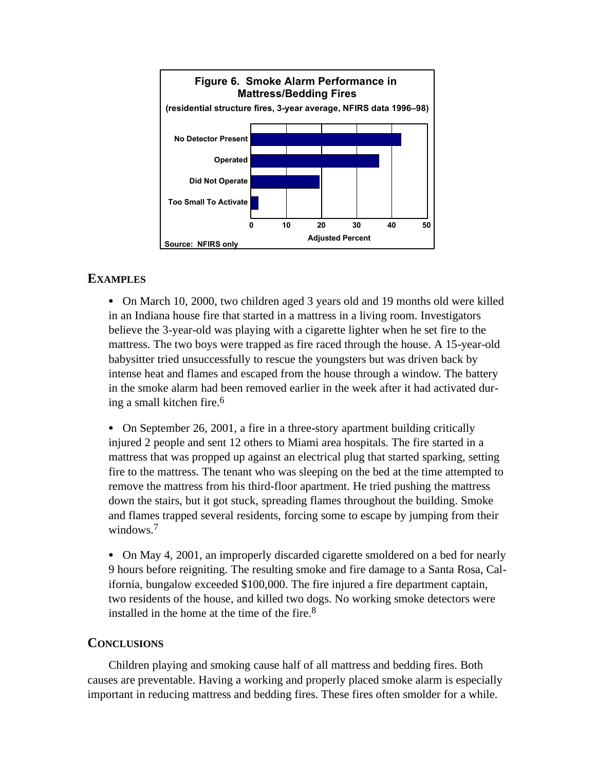

## **EXAMPLES**

• On March 10, 2000, two children aged 3 years old and 19 months old were killed in an Indiana house fire that started in a mattress in a living room. Investigators believe the 3-year-old was playing with a cigarette lighter when he set fire to the mattress. The two boys were trapped as fire raced through the house. A 15-year-old babysitter tried unsuccessfully to rescue the youngsters but was driven back by intense heat and flames and escaped from the house through a window. The battery in the smoke alarm had been removed earlier in the week after it had activated during a small kitchen fire. 6

• On September 26, 2001, a fire in a three-story apartment building critically injured 2 people and sent 12 others to Miami area hospitals. The fire started in a mattress that was propped up against an electrical plug that started sparking, setting fire to the mattress. The tenant who was sleeping on the bed at the time attempted to remove the mattress from his third-floor apartment. He tried pushing the mattress down the stairs, but it got stuck, spreading flames throughout the building. Smoke and flames trapped several residents, forcing some to escape by jumping from their windows.<sup>7</sup>

• On May 4, 2001, an improperly discarded cigarette smoldered on a bed for nearly 9 hours before reigniting. The resulting smoke and fire damage to a Santa Rosa, California, bungalow exceeded \$100,000. The fire injured a fire department captain, two residents of the house, and killed two dogs. No working smoke detectors were installed in the home at the time of the fire. 8

#### **CONCLUSIONS**

Children playing and smoking cause half of all mattress and bedding fires. Both causes are preventable. Having a working and properly placed smoke alarm is especially important in reducing mattress and bedding fires. These fires often smolder for a while.